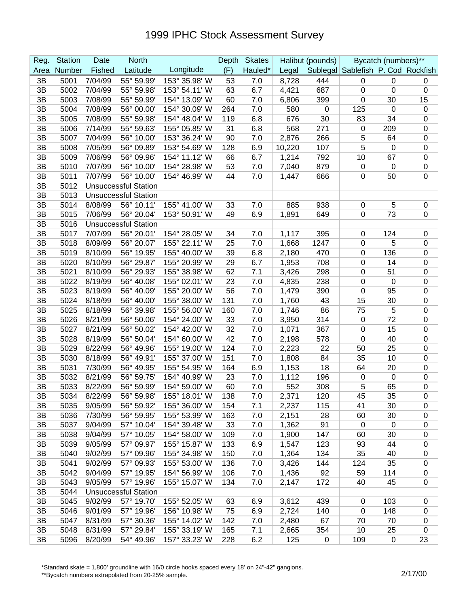| Reg. | <b>Station</b> | Date    | <b>North</b>                |               | Depth | <b>Skates</b> |        | Halibut (pounds) |                                    | Bycatch (numbers)** |                  |
|------|----------------|---------|-----------------------------|---------------|-------|---------------|--------|------------------|------------------------------------|---------------------|------------------|
| Area | Number         | Fished  | Latitude                    | Longitude     | (F)   | Hauled*       | Legal  |                  | Sublegal Sablefish P. Cod Rockfish |                     |                  |
| 3B   | 5001           | 7/04/99 | 55° 59.99'                  | 153° 35.98' W | 53    | 7.0           | 8,728  | 444              | $\mathbf 0$                        | $\mathbf 0$         | 0                |
| 3B   | 5002           | 7/04/99 | 55° 59.98                   | 153° 54.11' W | 63    | 6.7           | 4,421  | 687              | $\pmb{0}$                          | $\mathbf 0$         | $\boldsymbol{0}$ |
| 3B   | 5003           | 7/08/99 | 55° 59.99'                  | 154° 13.09' W | 60    | 7.0           | 6,806  | 399              | $\mathbf 0$                        | 30                  | 15               |
| 3B   | 5004           | 7/08/99 | 56° 00.00'                  | 154° 30.09' W | 264   | 7.0           | 580    | $\boldsymbol{0}$ | 125                                | $\mathbf 0$         | $\boldsymbol{0}$ |
| 3B   | 5005           | 7/08/99 | 55° 59.98'                  | 154° 48.04' W | 119   | 6.8           | 676    | 30               | 83                                 | 34                  | $\mathbf 0$      |
| 3B   | 5006           | 7/14/99 | 55° 59.63'                  | 155° 05.85' W | 31    | 6.8           | 568    | 271              | $\mathbf 0$                        | 209                 | $\boldsymbol{0}$ |
| 3B   | 5007           | 7/04/99 | 56° 10.00'                  | 153° 36.24' W | 90    | 7.0           | 2,876  | 266              | 5                                  | 64                  | $\pmb{0}$        |
| 3B   | 5008           | 7/05/99 | 56° 09.89'                  | 153° 54.69' W | 128   | 6.9           | 10,220 | 107              | 5                                  | 0                   | $\pmb{0}$        |
| 3B   | 5009           | 7/06/99 | 56° 09.96'                  | 154° 11.12' W | 66    | 6.7           | 1,214  | 792              | 10                                 | 67                  | $\boldsymbol{0}$ |
| 3B   | 5010           | 7/07/99 | 56° 10.00'                  | 154° 28.98' W | 53    | 7.0           | 7,040  | 879              | $\mathbf 0$                        | 0                   | $\boldsymbol{0}$ |
| 3B   | 5011           | 7/07/99 | 56° 10.00'                  | 154° 46.99' W | 44    | 7.0           | 1,447  | 666              | 0                                  | 50                  | 0                |
| 3B   | 5012           |         | <b>Unsuccessful Station</b> |               |       |               |        |                  |                                    |                     |                  |
| 3B   | 5013           |         | <b>Unsuccessful Station</b> |               |       |               |        |                  |                                    |                     |                  |
| 3B   | 5014           | 8/08/99 | 56° 10.11'                  | 155° 41.00' W | 33    | 7.0           | 885    | 938              | $\pmb{0}$                          | 5                   | 0                |
| 3B   | 5015           | 7/06/99 | 56° 20.04'                  | 153° 50.91' W | 49    | 6.9           | 1,891  | 649              | $\mathbf 0$                        | 73                  | 0                |
| 3B   | 5016           |         | <b>Unsuccessful Station</b> |               |       |               |        |                  |                                    |                     |                  |
| 3B   | 5017           | 7/07/99 | 56° 20.01'                  | 154° 28.05' W | 34    | 7.0           | 1,117  | 395              | 0                                  | 124                 | $\mathbf 0$      |
| 3B   | 5018           | 8/09/99 | 56° 20.07'                  | 155° 22.11' W | 25    | 7.0           | 1,668  | 1247             | $\mathbf 0$                        | 5                   | $\mathbf 0$      |
| 3B   | 5019           | 8/10/99 | 56° 19.95'                  | 155° 40.00' W | 39    | 6.8           | 2,180  | 470              | $\mathbf 0$                        | 136                 | $\pmb{0}$        |
| 3B   | 5020           | 8/10/99 | 56° 29.87'                  | 155° 20.99' W | 29    | 6.7           | 1,953  | 708              | $\mathbf 0$                        | 14                  | $\pmb{0}$        |
| 3B   | 5021           | 8/10/99 | 56° 29.93'                  | 155° 38.98' W | 62    | 7.1           | 3,426  | 298              | 0                                  | 51                  | $\pmb{0}$        |
| 3B   | 5022           | 8/19/99 | 56° 40.08'                  | 155° 02.01' W | 23    | 7.0           | 4,835  | 238              | 0                                  | $\mathbf 0$         | $\mathbf 0$      |
| 3B   | 5023           | 8/19/99 | 56° 40.09'                  | 155° 20.00' W | 56    | 7.0           | 1,479  | 390              | 0                                  | 95                  | $\mathbf 0$      |
| 3B   | 5024           | 8/18/99 | 56° 40.00'                  | 155° 38.00' W | 131   | 7.0           | 1,760  | 43               | 15                                 | 30                  | $\boldsymbol{0}$ |
| 3B   | 5025           | 8/18/99 | 56° 39.98'                  | 155° 56.00' W | 160   | 7.0           | 1,746  | 86               | 75                                 | 5                   | $\boldsymbol{0}$ |
| 3B   | 5026           | 8/21/99 | 56° 50.06'                  | 154° 24.00' W | 33    | 7.0           | 3,950  | 314              | $\mathbf 0$                        | 72                  | $\boldsymbol{0}$ |
| 3B   | 5027           | 8/21/99 | 56° 50.02'                  | 154° 42.00' W | 32    | 7.0           | 1,071  | 367              | $\mathbf 0$                        | 15                  | $\boldsymbol{0}$ |
| 3B   | 5028           | 8/19/99 | 56° 50.04'                  | 154° 60.00' W | 42    | 7.0           | 2,198  | 578              | 0                                  | 40                  | $\boldsymbol{0}$ |
| 3B   | 5029           | 8/22/99 | 56° 49.96'                  | 155° 19.00' W | 124   | 7.0           | 2,223  | 22               | 50                                 | 25                  | $\boldsymbol{0}$ |
| 3B   | 5030           | 8/18/99 | 56° 49.91'                  | 155° 37.00' W | 151   | 7.0           | 1,808  | 84               | 35                                 | 10                  | $\boldsymbol{0}$ |
| 3B   | 5031           | 7/30/99 | 56° 49.95'                  | 155° 54.95' W | 164   | 6.9           | 1,153  | 18               | 64                                 | 20                  | $\pmb{0}$        |
| 3B   | 5032           | 8/21/99 | 56° 59.75                   | 154° 40.99' W | 23    | 7.0           | 1,112  | 196              | $\mathbf 0$                        | $\mathbf 0$         | $\pmb{0}$        |
| 3B   | 5033           | 8/22/99 | 56° 59.99                   | 154° 59.00' W | 60    | 7.0           | 552    | 308              | 5                                  | 65                  | 0                |
| 3B   | 5034           | 8/22/99 | 56° 59.98'                  | 155° 18.01' W | 138   | 7.0           | 2,371  | 120              | 45                                 | 35                  | $\mathbf 0$      |
| 3B   | 5035           | 9/05/99 | 56° 59.92'                  | 155° 36.00' W | 154   | 7.1           | 2,237  | 115              | 41                                 | 30                  | 0                |
| 3B   | 5036           | 7/30/99 | 56° 59.95'                  | 155° 53.99' W | 163   | 7.0           | 2,151  | 28               | 60                                 | 30                  | 0                |
| 3B   | 5037           | 9/04/99 | 57° 10.04'                  | 154° 39.48' W | 33    | 7.0           | 1,362  | 91               | $\overline{0}$                     | $\mathbf 0$         | $\pmb{0}$        |
| 3B   | 5038           | 9/04/99 | 57° 10.05'                  | 154° 58.00' W | 109   | 7.0           | 1,900  | 147              | 60                                 | 30                  | $\pmb{0}$        |
| 3B   | 5039           | 9/05/99 | 57° 09.97'                  | 155° 15.87' W | 133   | 6.9           | 1,547  | 123              | 93                                 | 44                  | $\pmb{0}$        |
| 3B   | 5040           | 9/02/99 | 57° 09.96'                  | 155° 34.98' W | 150   | 7.0           | 1,364  | 134              | 35                                 | 40                  | $\pmb{0}$        |
| 3B   | 5041           | 9/02/99 | 57° 09.93'                  | 155° 53.00' W | 136   | 7.0           | 3,426  | 144              | 124                                | 35                  | $\pmb{0}$        |
| 3B   | 5042           | 9/04/99 | 57° 19.95'                  | 154° 56.99' W | 106   | 7.0           | 1,436  | 92               | 59                                 | 114                 | 0                |
| 3B   | 5043           | 9/05/99 | 57° 19.96'                  | 155° 15.07' W | 134   | 7.0           | 2,147  | 172              | 40                                 | 45                  | $\pmb{0}$        |
| 3B   | 5044           |         | <b>Unsuccessful Station</b> |               |       |               |        |                  |                                    |                     |                  |
| 3B   | 5045           | 9/02/99 | 57° 19.70'                  | 155° 52.05' W | 63    | 6.9           | 3,612  | 439              | $\overline{0}$                     | 103                 | 0                |
| 3B   | 5046           | 9/01/99 | 57° 19.96'                  | 156° 10.98' W | 75    | 6.9           | 2,724  | 140              | $\mathbf 0$                        | 148                 | $\pmb{0}$        |
| 3B   | 5047           | 8/31/99 | 57° 30.36'                  | 155° 14.02' W | 142   | 7.0           | 2,480  | 67               | 70                                 | 70                  | 0                |
| 3B   | 5048           | 8/31/99 | 57° 29.84'                  | 155° 33.19' W | 165   | 7.1           | 2,665  | 354              | 10                                 | 25                  | $\mathbf 0$      |
| 3B   | 5096           | 8/20/99 | 54° 49.96'                  | 157° 33.23' W | 228   | 6.2           | 125    | 0                | 109                                | $\mathbf 0$         | 23               |

\*Standard skate = 1,800' groundline with 16/0 circle hooks spaced every 18' on 24"-42" gangions.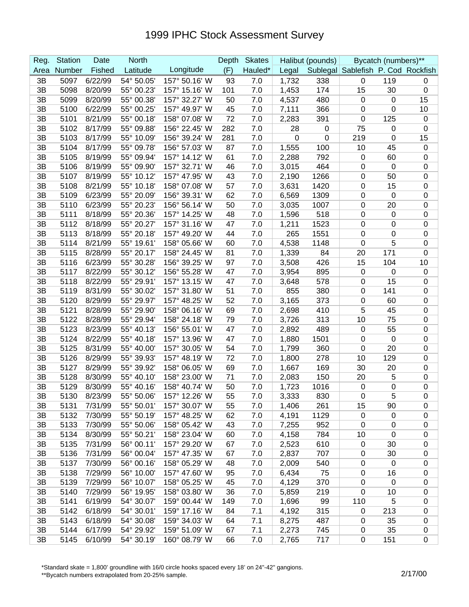| Reg. | <b>Station</b> | Date    | <b>North</b> |               | Depth | <b>Skates</b> |       | Halibut (pounds) |                                    | Bycatch (numbers)** |                  |
|------|----------------|---------|--------------|---------------|-------|---------------|-------|------------------|------------------------------------|---------------------|------------------|
| Area | Number         | Fished  | Latitude     | Longitude     | (F)   | Hauled*       | Legal |                  | Sublegal Sablefish P. Cod Rockfish |                     |                  |
| 3B   | 5097           | 6/22/99 | 54° 50.05'   | 157° 50.16' W | 93    | 7.0           | 1,732 | 338              | 0                                  | 119                 | 0                |
| 3B   | 5098           | 8/20/99 | 55° 00.23'   | 157° 15.16' W | 101   | 7.0           | 1,453 | 174              | 15                                 | 30                  | $\boldsymbol{0}$ |
| 3B   | 5099           | 8/20/99 | 55° 00.38'   | 157° 32.27' W | 50    | 7.0           | 4,537 | 480              | 0                                  | $\mathbf 0$         | 15               |
| 3B   | 5100           | 6/22/99 | 55° 00.25'   | 157° 49.97' W | 45    | 7.0           | 7,111 | 366              | $\pmb{0}$                          | $\mathbf 0$         | 10               |
| 3B   | 5101           | 8/21/99 | 55° 00.18'   | 158° 07.08' W | 72    | 7.0           | 2,283 | 391              | 0                                  | 125                 | $\mathbf 0$      |
| 3B   | 5102           | 8/17/99 | 55° 09.88'   | 156° 22.45' W | 282   | 7.0           | 28    | 0                | 75                                 | 0                   | $\mathbf 0$      |
| 3B   | 5103           | 8/17/99 | 55° 10.09'   | 156° 39.24' W | 281   | 7.0           | 0     | 0                | 219                                | 0                   | 15               |
| 3B   | 5104           | 8/17/99 | 55° 09.78'   | 156° 57.03' W | 87    | 7.0           | 1,555 | 100              | 10                                 | 45                  | $\mathbf 0$      |
| 3B   | 5105           | 8/19/99 | 55° 09.94'   | 157° 14.12' W | 61    | 7.0           | 2,288 | 792              | 0                                  | 60                  | 0                |
| 3B   | 5106           | 8/19/99 | 55° 09.90'   | 157° 32.71' W | 46    | 7.0           | 3,015 | 464              | $\pmb{0}$                          | 0                   | $\mathbf 0$      |
| 3B   | 5107           | 8/19/99 | 55° 10.12'   | 157° 47.95' W | 43    | 7.0           | 2,190 | 1266             | $\mathbf 0$                        | 50                  | $\boldsymbol{0}$ |
| 3B   | 5108           | 8/21/99 | 55° 10.18'   | 158° 07.08' W | 57    | 7.0           | 3,631 | 1420             | $\mathbf 0$                        | 15                  | $\boldsymbol{0}$ |
| 3B   | 5109           | 6/23/99 | 55° 20.09'   | 156° 39.31' W | 62    | 7.0           | 6,569 | 1309             | $\mathbf 0$                        | 0                   | $\boldsymbol{0}$ |
| 3B   | 5110           | 6/23/99 | 55° 20.23'   | 156° 56.14' W | 50    | 7.0           | 3,035 | 1007             | $\mathbf 0$                        | 20                  | $\boldsymbol{0}$ |
| 3B   | 5111           | 8/18/99 | 55° 20.36'   | 157° 14.25' W | 48    | 7.0           | 1,596 | 518              | 0                                  | $\mathbf 0$         | $\mathbf 0$      |
| 3B   | 5112           | 8/18/99 | 55° 20.27'   | 157° 31.16' W | 47    | 7.0           | 1,211 | 1523             | 0                                  | $\mathbf 0$         | $\mathbf 0$      |
| 3B   | 5113           | 8/18/99 | 55° 20.18'   | 157° 49.20' W | 44    | 7.0           | 265   | 1551             | 0                                  | 0                   | $\mathbf 0$      |
| 3B   | 5114           | 8/21/99 | 55° 19.61'   | 158° 05.66' W | 60    | 7.0           | 4,538 | 1148             | 0                                  | 5                   | $\mathbf 0$      |
| 3B   | 5115           | 8/28/99 | 55° 20.17'   | 158° 24.45' W | 81    | 7.0           | 1,339 | 84               | 20                                 | 171                 | $\mathbf 0$      |
| 3B   | 5116           | 6/23/99 | 55° 30.28'   | 156° 39.25' W | 97    | 7.0           | 3,508 | 426              | 15                                 | 104                 | 10               |
| 3B   | 5117           | 8/22/99 | 55° 30.12'   | 156° 55.28' W | 47    | 7.0           | 3,954 | 895              | 0                                  | 0                   | $\mathbf 0$      |
| 3B   | 5118           | 8/22/99 | 55° 29.91'   | 157° 13.15' W | 47    | 7.0           | 3,648 | 578              | 0                                  | 15                  | $\mathbf 0$      |
| 3B   | 5119           | 8/31/99 | 55° 30.02'   | 157° 31.80' W | 51    | 7.0           | 855   | 380              | 0                                  | 141                 | $\mathbf 0$      |
| 3B   | 5120           | 8/29/99 | 55° 29.97'   | 157° 48.25' W | 52    | 7.0           | 3,165 | 373              | $\mathbf 0$                        | 60                  | $\boldsymbol{0}$ |
| 3B   | 5121           | 8/28/99 | 55° 29.90'   | 158° 06.16' W | 69    | 7.0           | 2,698 | 410              | 5                                  | 45                  | $\boldsymbol{0}$ |
| 3B   | 5122           | 8/28/99 | 55° 29.94'   | 158° 24.18' W | 79    | 7.0           | 3,726 | 313              | 10                                 | 75                  | $\boldsymbol{0}$ |
| 3B   | 5123           | 8/23/99 | 55° 40.13'   | 156° 55.01' W | 47    | 7.0           | 2,892 | 489              | 0                                  | 55                  | $\boldsymbol{0}$ |
| 3B   | 5124           | 8/22/99 | 55° 40.18'   | 157° 13.96' W | 47    | 7.0           | 1,880 | 1501             | 0                                  | $\mathbf 0$         | $\mathbf 0$      |
| 3B   | 5125           | 8/31/99 | 55° 40.00'   | 157° 30.05' W | 54    | 7.0           | 1,799 | 360              | 0                                  | 20                  | $\mathbf 0$      |
| 3B   | 5126           | 8/29/99 | 55° 39.93'   | 157° 48.19' W | 72    | 7.0           | 1,800 | 278              | 10                                 | 129                 | $\mathbf 0$      |
| 3B   | 5127           | 8/29/99 | 55° 39.92'   | 158° 06.05' W | 69    | 7.0           | 1,667 | 169              | 30                                 | 20                  | $\mathbf 0$      |
| 3B   | 5128           | 8/30/99 | 55° 40.10'   | 158° 23.00' W | 71    | 7.0           | 2,083 | 150              | 20                                 | 5                   | $\mathbf 0$      |
| 3B   | 5129           | 8/30/99 | 55° 40.16'   | 158° 40.74' W | 50    | 7.0           | 1,723 | 1016             | $\mathbf 0$                        | 0                   | $\boldsymbol{0}$ |
| 3B   | 5130           | 8/23/99 | 55° 50.06'   | 157° 12.26' W | 55    | 7.0           | 3,333 | 830              | $\mathbf 0$                        | 5                   | $\Omega$         |
| 3B   | 5131           | 7/31/99 | 55° 50.01'   | 157° 30.07' W | 55    | 7.0           | 1,406 | 261              | 15                                 | 90                  | $\pmb{0}$        |
| 3B   | 5132           | 7/30/99 | 55° 50.19'   | 157° 48.25' W | 62    | 7.0           | 4,191 | 1129             | $\mathbf 0$                        | 0                   | $\mathbf 0$      |
| 3B   | 5133           | 7/30/99 | 55° 50.06'   | 158° 05.42' W | 43    | 7.0           | 7,255 | 952              | $\mathbf 0$                        | $\mathbf 0$         | $\mathbf 0$      |
| 3B   | 5134           | 8/30/99 | 55° 50.21'   | 158° 23.04' W | 60    | 7.0           | 4,158 | 784              | 10                                 | $\mathbf 0$         | $\pmb{0}$        |
| 3B   | 5135           | 7/31/99 | 56° 00.11'   | 157° 29.20' W | 67    | 7.0           | 2,523 | 610              | $\mathbf 0$                        | 30                  | $\pmb{0}$        |
| 3B   | 5136           | 7/31/99 | 56° 00.04'   | 157° 47.35' W | 67    | 7.0           | 2,837 | 707              | $\mathbf 0$                        | 30                  | $\pmb{0}$        |
| 3B   | 5137           | 7/30/99 | 56° 00.16'   | 158° 05.29' W | 48    | 7.0           | 2,009 | 540              | 0                                  | $\mathbf 0$         | $\pmb{0}$        |
| 3B   | 5138           | 7/29/99 | 56° 10.00'   | 157° 47.60' W | 95    | 7.0           | 6,434 | 75               | 0                                  | 16                  | $\pmb{0}$        |
| 3B   | 5139           | 7/29/99 | 56° 10.07'   | 158° 05.25' W | 45    | 7.0           | 4,129 | 370              | $\mathbf 0$                        | $\mathbf 0$         | 0                |
| 3B   | 5140           | 7/29/99 | 56° 19.95'   | 158° 03.80' W | 36    | 7.0           | 5,859 | 219              | $\mathbf 0$                        | 10                  | $\pmb{0}$        |
| 3B   | 5141           | 6/19/99 | 54° 30.07'   | 159° 00.44' W | 149   | 7.0           | 1,696 | 99               | 110                                | $\sqrt{5}$          | $\pmb{0}$        |
| 3B   | 5142           | 6/18/99 | 54° 30.01'   | 159° 17.16' W | 84    | 7.1           | 4,192 | 315              | 0                                  | 213                 | 0                |
| 3B   | 5143           | 6/18/99 | 54° 30.08'   | 159° 34.03' W | 64    | 7.1           | 8,275 | 487              | $\mathbf 0$                        | 35                  | $\pmb{0}$        |
| 3B   | 5144           | 6/17/99 | 54° 29.92'   | 159° 51.09' W | 67    | 7.1           | 2,273 | 745              | $\mathbf 0$                        | 35                  | $\pmb{0}$        |
| 3B   | 5145           | 6/10/99 | 54° 30.19'   | 160° 08.79' W | 66    | 7.0           | 2,765 | 717              | $\mathbf 0$                        | 151                 | $\pmb{0}$        |

\*Standard skate = 1,800' groundline with 16/0 circle hooks spaced every 18' on 24"-42" gangions.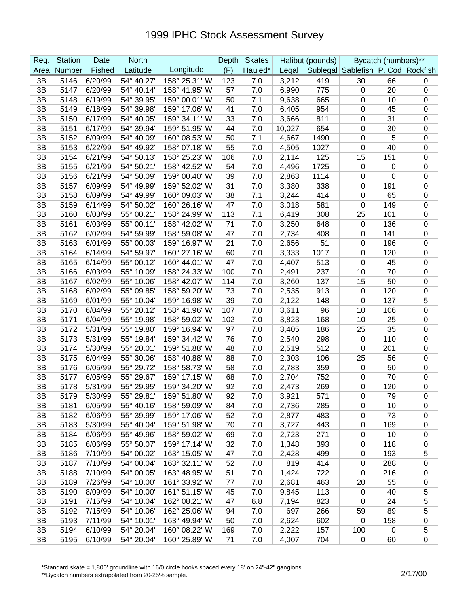| Reg. | <b>Station</b> | Date    | <b>North</b> |               | Depth | <b>Skates</b> |        | Halibut (pounds) |                                    | Bycatch (numbers)** |                  |
|------|----------------|---------|--------------|---------------|-------|---------------|--------|------------------|------------------------------------|---------------------|------------------|
| Area | Number         | Fished  | Latitude     | Longitude     | (F)   | Hauled*       | Legal  |                  | Sublegal Sablefish P. Cod Rockfish |                     |                  |
| 3B   | 5146           | 6/20/99 | 54° 40.27'   | 158° 25.31' W | 123   | 7.0           | 3,212  | 419              | 30                                 | 66                  | 0                |
| 3B   | 5147           | 6/20/99 | 54° 40.14'   | 158° 41.95' W | 57    | 7.0           | 6,990  | 775              | 0                                  | 20                  | $\mathbf 0$      |
| 3B   | 5148           | 6/19/99 | 54° 39.95'   | 159° 00.01' W | 50    | 7.1           | 9,638  | 665              | $\mathbf 0$                        | 10                  | $\mathbf 0$      |
| 3B   | 5149           | 6/18/99 | 54° 39.98'   | 159° 17.06' W | 41    | 7.0           | 6,405  | 954              | 0                                  | 45                  | $\mathbf 0$      |
| 3B   | 5150           | 6/17/99 | 54° 40.05'   | 159° 34.11' W | 33    | 7.0           | 3,666  | 811              | 0                                  | 31                  | $\boldsymbol{0}$ |
| 3B   | 5151           | 6/17/99 | 54° 39.94'   | 159° 51.95' W | 44    | 7.0           | 10,027 | 654              | 0                                  | 30                  | $\mathbf 0$      |
| 3B   | 5152           | 6/09/99 | 54° 40.09'   | 160° 08.53' W | 50    | 7.1           | 4,667  | 1490             | 0                                  | 5                   | $\mathbf 0$      |
| 3B   | 5153           | 6/22/99 | 54° 49.92'   | 158° 07.18' W | 55    | 7.0           | 4,505  | 1027             | 0                                  | 40                  | $\mathbf 0$      |
| 3B   | 5154           | 6/21/99 | 54° 50.13'   | 158° 25.23' W | 106   | 7.0           | 2,114  | 125              | 15                                 | 151                 | $\mathbf 0$      |
| 3B   | 5155           | 6/21/99 | 54° 50.21'   | 158° 42.52' W | 54    | 7.0           | 4,496  | 1725             | $\pmb{0}$                          | 0                   | $\boldsymbol{0}$ |
| 3B   | 5156           | 6/21/99 | 54° 50.09'   | 159° 00.40' W | 39    | 7.0           | 2,863  | 1114             | $\pmb{0}$                          | 0                   | $\boldsymbol{0}$ |
| 3B   | 5157           | 6/09/99 | 54° 49.99'   | 159° 52.02' W | 31    | 7.0           | 3,380  | 338              | $\mathbf 0$                        | 191                 | $\boldsymbol{0}$ |
| 3B   | 5158           | 6/09/99 | 54° 49.99'   | 160° 09.03' W | 38    | 7.1           | 3,244  | 414              | $\mathbf 0$                        | 65                  | $\boldsymbol{0}$ |
| 3B   | 5159           | 6/14/99 | 54° 50.02'   | 160° 26.16' W | 47    | 7.0           | 3,018  | 581              | $\mathbf 0$                        | 149                 | $\boldsymbol{0}$ |
| 3B   | 5160           | 6/03/99 | 55° 00.21'   | 158° 24.99' W | 113   | 7.1           | 6,419  | 308              | 25                                 | 101                 | $\mathbf 0$      |
| 3B   | 5161           | 6/03/99 | 55° 00.11'   | 158° 42.02' W | 71    | 7.0           | 3,250  | 648              | 0                                  | 136                 | $\mathbf 0$      |
| 3B   | 5162           | 6/02/99 | 54° 59.99'   | 158° 59.08' W | 47    | 7.0           | 2,734  | 408              | 0                                  | 141                 | $\mathbf 0$      |
| 3B   | 5163           | 6/01/99 | 55° 00.03'   | 159° 16.97' W | 21    | 7.0           | 2,656  | 51               | 0                                  | 196                 | $\mathbf 0$      |
| 3B   | 5164           | 6/14/99 | 54° 59.97'   | 160° 27.16' W | 60    | 7.0           | 3,333  | 1017             | 0                                  | 120                 | $\mathbf 0$      |
| 3B   | 5165           | 6/14/99 | 55° 00.12'   | 160° 44.01' W | 47    | 7.0           | 4,407  | 513              | 0                                  | 45                  | $\mathbf 0$      |
| 3B   | 5166           | 6/03/99 | 55° 10.09'   | 158° 24.33' W | 100   | 7.0           | 2,491  | 237              | 10                                 | 70                  | $\mathbf 0$      |
| 3B   | 5167           | 6/02/99 | 55° 10.06'   | 158° 42.07' W | 114   | 7.0           | 3,260  | 137              | 15                                 | 50                  | $\mathbf 0$      |
| 3B   | 5168           | 6/02/99 | 55° 09.85'   | 158° 59.20' W | 73    | 7.0           | 2,535  | 913              | 0                                  | 120                 | $\boldsymbol{0}$ |
| 3B   | 5169           | 6/01/99 | 55° 10.04'   | 159° 16.98' W | 39    | 7.0           | 2,122  | 148              | 0                                  | 137                 | 5                |
| 3B   | 5170           | 6/04/99 | 55° 20.12'   | 158° 41.96' W | 107   | 7.0           | 3,611  | 96               | 10                                 | 106                 | $\boldsymbol{0}$ |
| 3B   | 5171           | 6/04/99 | 55° 19.98'   | 158° 59.02' W | 102   | 7.0           | 3,823  | 168              | 10                                 | 25                  | $\boldsymbol{0}$ |
| 3B   | 5172           | 5/31/99 | 55° 19.80'   | 159° 16.94' W | 97    | 7.0           | 3,405  | 186              | 25                                 | 35                  | $\boldsymbol{0}$ |
| 3B   | 5173           | 5/31/99 | 55° 19.84'   | 159° 34.42' W | 76    | 7.0           | 2,540  | 298              | $\mathbf 0$                        | 110                 | $\boldsymbol{0}$ |
| 3B   | 5174           | 5/30/99 | 55° 20.01'   | 159° 51.88' W | 48    | 7.0           | 2,519  | 512              | 0                                  | 201                 | $\mathbf 0$      |
| 3B   | 5175           | 6/04/99 | 55° 30.06'   | 158° 40.88' W | 88    | 7.0           | 2,303  | 106              | 25                                 | 56                  | $\mathbf 0$      |
| 3B   | 5176           | 6/05/99 | 55° 29.72    | 158° 58.73' W | 58    | 7.0           | 2,783  | 359              | 0                                  | 50                  | $\mathbf 0$      |
| 3B   | 5177           | 6/05/99 | 55° 29.67'   | 159° 17.15' W | 68    | 7.0           | 2,704  | 752              | $\pmb{0}$                          | 70                  | $\pmb{0}$        |
| 3B   | 5178           | 5/31/99 | 55° 29.95'   | 159° 34.20' W | 92    | 7.0           | 2,473  | 269              | 0                                  | 120                 | $\boldsymbol{0}$ |
| 3B   | 5179           | 5/30/99 | 55° 29.81'   | 159° 51.80' W | 92    | 7.0           | 3,921  | 571              | 0                                  | 79                  | $\Omega$         |
| 3B   | 5181           | 6/05/99 | 55° 40.16'   | 158° 59.09' W | 84    | 7.0           | 2,736  | 285              | $\pmb{0}$                          | 10                  | $\pmb{0}$        |
| 3B   | 5182           | 6/06/99 | 55° 39.99'   | 159° 17.06' W | 52    | 7.0           | 2,877  | 483              | 0                                  | 73                  | $\mathbf 0$      |
| 3B   | 5183           | 5/30/99 | 55° 40.04'   | 159° 51.98' W | 70    | 7.0           | 3,727  | 443              | 0                                  | 169                 | $\mathbf 0$      |
| 3B   | 5184           | 6/06/99 | 55° 49.96'   | 158° 59.02' W | 69    | 7.0           | 2,723  | 271              | 0                                  | 10                  | $\pmb{0}$        |
| 3B   | 5185           | 6/06/99 | 55° 50.07'   | 159° 17.14' W | 32    | 7.0           | 1,348  | 393              | $\mathbf 0$                        | 118                 | $\pmb{0}$        |
| 3B   | 5186           | 7/10/99 | 54° 00.02'   | 163° 15.05' W | 47    | 7.0           | 2,428  | 499              | $\mathbf 0$                        | 193                 | 5                |
| 3B   | 5187           | 7/10/99 | 54° 00.04'   | 163° 32.11' W | 52    | 7.0           | 819    | 414              | 0                                  | 288                 | $\pmb{0}$        |
| 3B   | 5188           | 7/10/99 | 54° 00.05'   | 163° 48.95' W | 51    | 7.0           | 1,424  | 722              | $\mathbf 0$                        | 216                 | $\pmb{0}$        |
| 3B   | 5189           | 7/26/99 | 54° 10.00'   | 161° 33.92' W | 77    | 7.0           | 2,681  | 463              | 20                                 | 55                  | 0                |
| 3B   | 5190           | 8/09/99 | 54° 10.00'   | 161° 51.15' W | 45    | 7.0           | 9,845  | 113              | 0                                  | 40                  | 5                |
| 3B   | 5191           | 7/15/99 | 54° 10.04'   | 162° 08.21' W | 47    | 6.8           | 7,194  | 823              | 0                                  | 24                  | 5                |
| 3B   | 5192           | 7/15/99 | 54° 10.06'   | 162° 25.06' W | 94    | 7.0           | 697    | 266              | 59                                 | 89                  | $\mathbf 5$      |
| 3B   | 5193           | 7/11/99 | 54° 10.01'   | 163° 49.94' W | 50    | 7.0           | 2,624  | 602              | 0                                  | 158                 | $\pmb{0}$        |
| 3B   | 5194           | 6/10/99 | 54° 20.04'   | 160° 08.22' W | 169   | 7.0           | 2,222  | 157              | 100                                | $\mathbf 0$         | $\mathbf 5$      |
| 3B   | 5195           | 6/10/99 | 54° 20.04'   | 160° 25.89' W | 71    | 7.0           | 4,007  | 704              | 0                                  | 60                  | $\pmb{0}$        |

\*Standard skate = 1,800' groundline with 16/0 circle hooks spaced every 18' on 24"-42" gangions.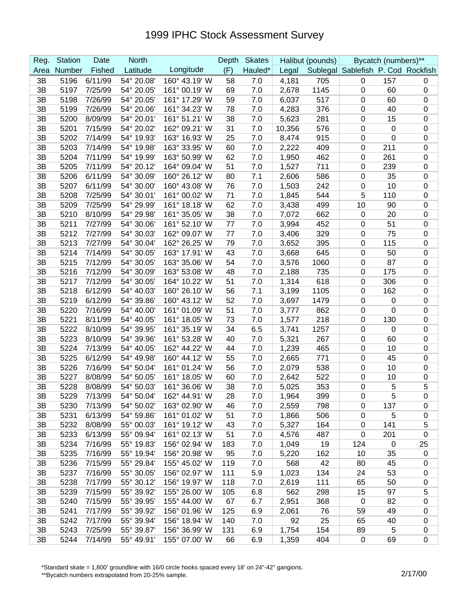| Reg.     | <b>Station</b> | Date    | <b>North</b> |               | Depth | <b>Skates</b> |        | Halibut (pounds) |                                    | Bycatch (numbers)** |                  |
|----------|----------------|---------|--------------|---------------|-------|---------------|--------|------------------|------------------------------------|---------------------|------------------|
| Area     | Number         | Fished  | Latitude     | Longitude     | (F)   | Hauled*       | Legal  |                  | Sublegal Sablefish P. Cod Rockfish |                     |                  |
| 3B       | 5196           | 6/11/99 | 54° 20.08'   | 160° 43.19' W | 58    | 7.0           | 4,181  | 705              | $\mathbf 0$                        | 157                 | 0                |
| 3B       | 5197           | 7/25/99 | 54° 20.05'   | 161° 00.19' W | 69    | 7.0           | 2,678  | 1145             | $\pmb{0}$                          | 60                  | $\pmb{0}$        |
| 3B       | 5198           | 7/26/99 | 54° 20.05'   | 161° 17.29' W | 59    | 7.0           | 6,037  | 517              | 0                                  | 60                  | 0                |
| 3B       | 5199           | 7/26/99 | 54° 20.06'   | 161° 34.23' W | 78    | 7.0           | 4,283  | 376              | 0                                  | 40                  | 0                |
| 3B       | 5200           | 8/09/99 | 54° 20.01'   | 161° 51.21' W | 38    | 7.0           | 5,623  | 281              | 0                                  | 15                  | 0                |
| 3B       | 5201           | 7/15/99 | 54° 20.02'   | 162° 09.21' W | 31    | 7.0           | 10,356 | 576              | 0                                  | 0                   | 0                |
| 3B       | 5202           | 7/14/99 | 54° 19.93'   | 163° 16.93' W | 25    | 7.0           | 8,474  | 915              | $\pmb{0}$                          | 0                   | $\boldsymbol{0}$ |
| 3B       | 5203           | 7/14/99 | 54° 19.98'   | 163° 33.95' W | 60    | 7.0           | 2,222  | 409              | $\pmb{0}$                          | 211                 | $\mathbf 0$      |
| 3B       | 5204           | 7/11/99 | 54° 19.99'   | 163° 50.99' W | 62    | 7.0           | 1,950  | 462              | 0                                  | 261                 | $\boldsymbol{0}$ |
| 3B       | 5205           | 7/11/99 | 54° 20.12'   | 164° 09.04' W | 51    | 7.0           | 1,527  | 711              | 0                                  | 239                 | 0                |
| 3B       | 5206           | 6/11/99 | 54° 30.09'   | 160° 26.12' W | 80    | 7.1           | 2,606  | 586              | 0                                  | 35                  | 0                |
| 3B       | 5207           | 6/11/99 | 54° 30.00'   | 160° 43.08' W | 76    | 7.0           | 1,503  | 242              | 0                                  | 10                  | 0                |
| 3B       | 5208           | 7/25/99 | 54° 30.01'   | 161° 00.02' W | 71    | 7.0           | 1,845  | 544              | 5                                  | 110                 | 0                |
| 3B       | 5209           | 7/25/99 | 54° 29.99'   | 161° 18.18' W | 62    | 7.0           | 3,438  | 499              | 10                                 | 90                  | $\pmb{0}$        |
| 3B       | 5210           | 8/10/99 | 54° 29.98'   | 161° 35.05' W | 38    | 7.0           | 7,072  | 662              | $\pmb{0}$                          | 20                  | 0                |
| 3B       | 5211           | 7/27/99 | 54° 30.06'   | 161° 52.10' W | 77    | 7.0           | 3,994  | 452              | $\pmb{0}$                          | 51                  | 0                |
| 3B       | 5212           | 7/27/99 | 54° 30.03'   | 162° 09.07' W | 77    | 7.0           | 3,406  | 329              | 0                                  | 75                  | 0                |
| 3B       | 5213           | 7/27/99 | 54° 30.04'   | 162° 26.25' W | 79    | 7.0           | 3,652  | 395              | 0                                  | 115                 | $\mathbf 0$      |
| 3B       | 5214           | 7/14/99 | 54° 30.05'   | 163° 17.91' W | 43    | 7.0           | 3,668  | 645              | 0                                  | 50                  | 0                |
| 3B       | 5215           | 7/12/99 | 54° 30.05'   | 163° 35.06' W | 54    | 7.0           | 3,576  | 1060             | 0                                  | 87                  | $\mathbf 0$      |
| 3B       | 5216           | 7/12/99 | 54° 30.09'   | 163° 53.08' W | 48    | 7.0           | 2,188  | 735              | 0                                  | 175                 | $\mathbf 0$      |
| 3B       | 5217           | 7/12/99 | 54° 30.05'   | 164° 10.22' W | 51    | 7.0           | 1,314  | 618              | 0                                  | 306                 | $\boldsymbol{0}$ |
| 3B       | 5218           | 6/12/99 | 54° 40.03'   | 160° 26.10' W | 56    | 7.1           | 3,199  | 1105             | 0                                  | 162                 | 0                |
| 3B       | 5219           | 6/12/99 | 54° 39.86'   | 160° 43.12' W | 52    | 7.0           | 3,697  | 1479             | 0                                  | 0                   | 0                |
| 3B       | 5220           | 7/16/99 | 54° 40.00    | 161° 01.09' W | 51    | 7.0           | 3,777  | 862              | 0                                  | 0                   | $\boldsymbol{0}$ |
| 3B       | 5221           | 8/11/99 | 54° 40.05    | 161° 18.05' W | 73    | 7.0           | 1,577  | 218              | 0                                  | 130                 | $\boldsymbol{0}$ |
| 3B       | 5222           | 8/10/99 | 54° 39.95'   | 161° 35.19' W | 34    | 6.5           | 3,741  | 1257             | 0                                  | 0                   | $\boldsymbol{0}$ |
| 3B       | 5223           | 8/10/99 | 54° 39.96'   | 161° 53.28' W | 40    | 7.0           | 5,321  | 267              | 0                                  | 60                  | 0                |
| 3B       | 5224           | 7/13/99 | 54° 40.05    | 162° 44.22' W | 44    | 7.0           | 1,239  | 465              | 0                                  | 10                  | 0                |
| 3B       | 5225           | 6/12/99 | 54° 49.98'   | 160° 44.12' W | 55    | 7.0           | 2,665  | 771              | 0                                  | 45                  | 0                |
| 3B       | 5226           | 7/16/99 | 54° 50.04'   | 161° 01.24' W | 56    | 7.0           | 2,079  | 538              | 0                                  | 10                  | 0                |
| 3B       | 5227           | 8/08/99 | 54° 50.05    | 161° 18.05' W | 60    | 7.0           | 2,642  | 522              | 0                                  | 10                  | $\pmb{0}$        |
| 3B       | 5228           | 8/08/99 | 54° 50.03'   | 161° 36.06' W | 38    | 7.0           | 5,025  | 353              | 0                                  | 5                   | 5                |
| 3B       | 5229           | 7/13/99 | 54° 50.04'   | 162° 44.91' W | 28    | 7.0           | 1,964  | 399              | 0                                  | 5                   | $\pmb{0}$        |
| 3B       | 5230           | 7/13/99 | 54° 50.02'   | 163° 02.90' W | 46    | 7.0           | 2,559  | 798              | 0                                  | 137                 | 0                |
| 3B       | 5231           | 6/13/99 | 54° 59.86'   | 161° 01.02' W | 51    | 7.0           | 1,866  | 506              | $\pmb{0}$                          | 5                   | 0                |
| 3B       | 5232           | 8/08/99 | 55° 00.03'   | 161° 19.12' W | 43    | 7.0           | 5,327  | 164              | $\pmb{0}$                          | 141                 | 5                |
| 3B       | 5233           | 6/13/99 | 55° 09.94'   | 161° 02.13' W | 51    | 7.0           | 4,576  | 487              | $\mathbf 0$                        | 201                 | $\pmb{0}$        |
| 3B       | 5234           | 7/16/99 | 55° 19.83'   | 156° 02.94' W | 183   | 7.0           | 1,049  | 19               | 124                                | $\mathbf 0$         | 25               |
| 3B       | 5235           | 7/16/99 | 55° 19.94'   | 156° 20.98' W | 95    | 7.0           | 5,220  | 162              | 10                                 | 35                  | $\mathbf 0$      |
| 3B       | 5236           | 7/15/99 | 55° 29.84'   | 155° 45.02' W | 119   | 7.0           | 568    | 42               | 80                                 | 45                  | 0                |
| 3B       | 5237           | 7/16/99 | 55° 30.05'   | 156° 02.97' W | 111   | 5.9           | 1,023  | 134              | 24                                 | 53                  | 0                |
| 3B       | 5238           | 7/17/99 | 55° 30.12'   | 156° 19.97' W | 118   | 7.0           | 2,619  | 111              | 65                                 | 50                  | $\pmb{0}$        |
| 3B       | 5239           | 7/15/99 | 55° 39.92'   | 155° 26.00' W | 105   | 6.8           | 562    | 298              | 15                                 | 97                  | 5                |
| 3B       | 5240           | 7/15/99 | 55° 39.95'   | 155° 44.00' W | 67    | 6.7           | 2,951  | 368              | 0                                  | 82                  | $\pmb{0}$        |
| 3B       | 5241           | 7/17/99 | 55° 39.92'   | 156° 01.96' W | 125   | 6.9           | 2,061  | 76               | 59                                 | 49                  | $\pmb{0}$        |
| 3B       | 5242           | 7/17/99 | 55° 39.94'   | 156° 18.94' W | 140   | 7.0           | 92     | 25               | 65                                 | 40                  | $\pmb{0}$        |
| 3B<br>3B | 5243           | 7/25/99 | 55° 39.87'   | 156° 36.99' W | 131   | 6.9           | 1,754  | 154              | 89<br>$\mathbf 0$                  | $\overline{5}$      | $\pmb{0}$        |
|          | 5244           | 7/14/99 | 55° 49.91'   | 155° 07.00' W | 66    | 6.9           | 1,359  | 404              |                                    | 69                  | 0                |

\*Standard skate = 1,800' groundline with 16/0 circle hooks spaced every 18' on 24"-42" gangions.